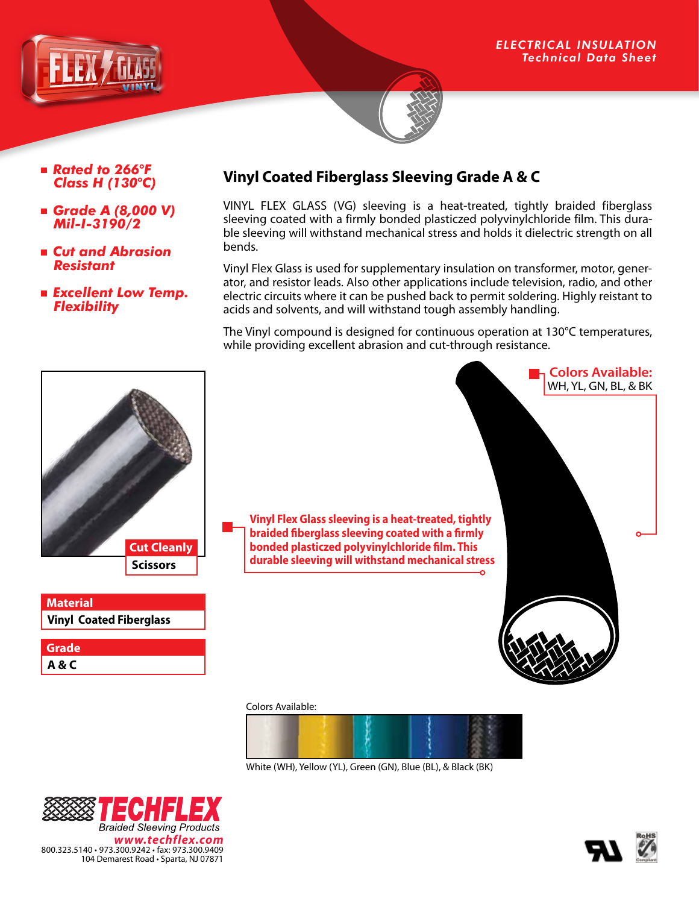

- *Rated to 266*°*F Class H (130*°*C)*
- *Grade A (8,000 V) Mil-I-3190/2*
- *Cut and Abrasion Resistant*
- *Excellent Low Temp. Flexibility*

# **Vinyl Coated Fiberglass Sleeving Grade A & C**

VINYL FLEX GLASS (VG) sleeving is a heat-treated, tightly braided fiberglass sleeving coated with a firmly bonded plasticzed polyvinylchloride film. This durable sleeving will withstand mechanical stress and holds it dielectric strength on all bends.

Vinyl Flex Glass is used for supplementary insulation on transformer, motor, generator, and resistor leads. Also other applications include television, radio, and other electric circuits where it can be pushed back to permit soldering. Highly reistant to acids and solvents, and will withstand tough assembly handling.

The Vinyl compound is designed for continuous operation at 130°C temperatures, while providing excellent abrasion and cut-through resistance.



2 C **Braided Sleeving Products** *www.techflex.com* 800.323.5140 • 973.300.9242 • fax: 973.300.9409 104 Demarest Road • Sparta, NJ 07871